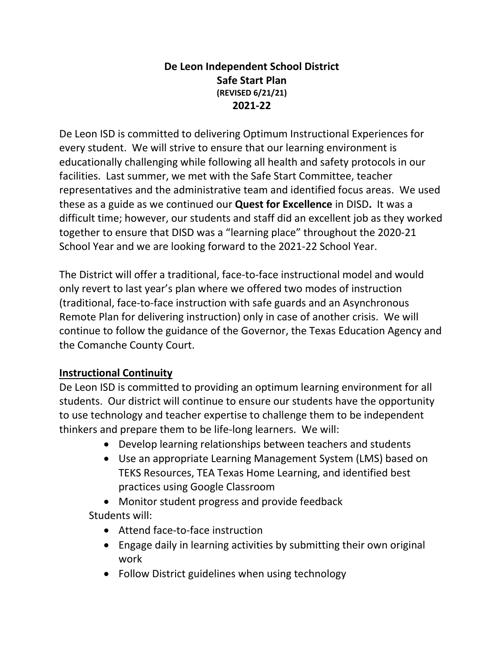#### **De Leon Independent School District Safe Start Plan (REVISED 6/21/21) 2021-22**

De Leon ISD is committed to delivering Optimum Instructional Experiences for every student. We will strive to ensure that our learning environment is educationally challenging while following all health and safety protocols in our facilities. Last summer, we met with the Safe Start Committee, teacher representatives and the administrative team and identified focus areas. We used these as a guide as we continued our **Quest for Excellence** in DISD**.** It was a difficult time; however, our students and staff did an excellent job as they worked together to ensure that DISD was a "learning place" throughout the 2020-21 School Year and we are looking forward to the 2021-22 School Year.

The District will offer a traditional, face-to-face instructional model and would only revert to last year's plan where we offered two modes of instruction (traditional, face-to-face instruction with safe guards and an Asynchronous Remote Plan for delivering instruction) only in case of another crisis. We will continue to follow the guidance of the Governor, the Texas Education Agency and the Comanche County Court.

## **Instructional Continuity**

De Leon ISD is committed to providing an optimum learning environment for all students. Our district will continue to ensure our students have the opportunity to use technology and teacher expertise to challenge them to be independent thinkers and prepare them to be life-long learners. We will:

- Develop learning relationships between teachers and students
- Use an appropriate Learning Management System (LMS) based on TEKS Resources, TEA Texas Home Learning, and identified best practices using Google Classroom
- Monitor student progress and provide feedback Students will:
	- Attend face-to-face instruction
	- Engage daily in learning activities by submitting their own original work
	- Follow District guidelines when using technology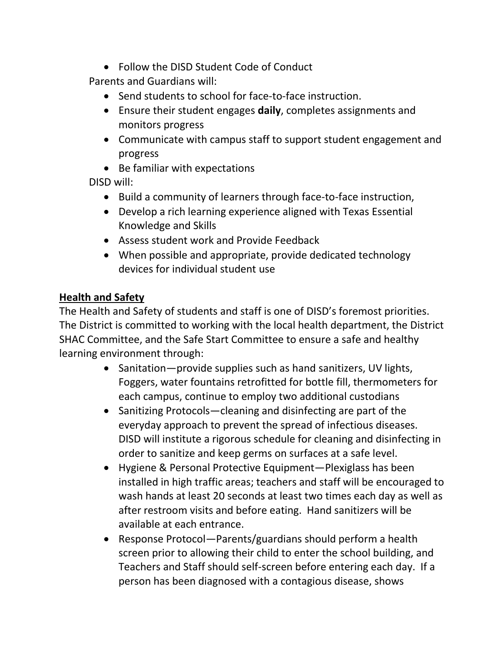Follow the DISD Student Code of Conduct

Parents and Guardians will:

- Send students to school for face-to-face instruction.
- Ensure their student engages **daily**, completes assignments and monitors progress
- Communicate with campus staff to support student engagement and progress
- Be familiar with expectations

DISD will:

- Build a community of learners through face-to-face instruction,
- Develop a rich learning experience aligned with Texas Essential Knowledge and Skills
- Assess student work and Provide Feedback
- When possible and appropriate, provide dedicated technology devices for individual student use

#### **Health and Safety**

The Health and Safety of students and staff is one of DISD's foremost priorities. The District is committed to working with the local health department, the District SHAC Committee, and the Safe Start Committee to ensure a safe and healthy learning environment through:

- Sanitation—provide supplies such as hand sanitizers, UV lights, Foggers, water fountains retrofitted for bottle fill, thermometers for each campus, continue to employ two additional custodians
- Sanitizing Protocols—cleaning and disinfecting are part of the everyday approach to prevent the spread of infectious diseases. DISD will institute a rigorous schedule for cleaning and disinfecting in order to sanitize and keep germs on surfaces at a safe level.
- Hygiene & Personal Protective Equipment—Plexiglass has been installed in high traffic areas; teachers and staff will be encouraged to wash hands at least 20 seconds at least two times each day as well as after restroom visits and before eating. Hand sanitizers will be available at each entrance.
- Response Protocol—Parents/guardians should perform a health screen prior to allowing their child to enter the school building, and Teachers and Staff should self-screen before entering each day. If a person has been diagnosed with a contagious disease, shows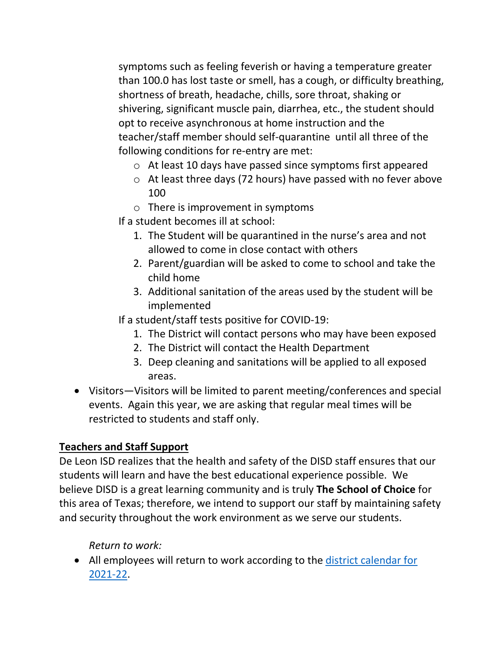symptoms such as feeling feverish or having a temperature greater than 100.0 has lost taste or smell, has a cough, or difficulty breathing, shortness of breath, headache, chills, sore throat, shaking or shivering, significant muscle pain, diarrhea, etc., the student should opt to receive asynchronous at home instruction and the teacher/staff member should self-quarantine until all three of the following conditions for re-entry are met:

- o At least 10 days have passed since symptoms first appeared
- o At least three days (72 hours) have passed with no fever above 100
- $\circ$  There is improvement in symptoms
- If a student becomes ill at school:
	- 1. The Student will be quarantined in the nurse's area and not allowed to come in close contact with others
	- 2. Parent/guardian will be asked to come to school and take the child home
	- 3. Additional sanitation of the areas used by the student will be implemented
- If a student/staff tests positive for COVID-19:
	- 1. The District will contact persons who may have been exposed
	- 2. The District will contact the Health Department
	- 3. Deep cleaning and sanitations will be applied to all exposed areas.
- Visitors—Visitors will be limited to parent meeting/conferences and special events. Again this year, we are asking that regular meal times will be restricted to students and staff only.

## **Teachers and Staff Support**

De Leon ISD realizes that the health and safety of the DISD staff ensures that our students will learn and have the best educational experience possible. We believe DISD is a great learning community and is truly **The School of Choice** for this area of Texas; therefore, we intend to support our staff by maintaining safety and security throughout the work environment as we serve our students.

*Return to work:*

• All employees will return to work according to the district calendar for [2021-22.](http://www.deleonisd.net/upload/common/Docs/2020-21/De%20Leon%20ISD%202021-2022.pdf)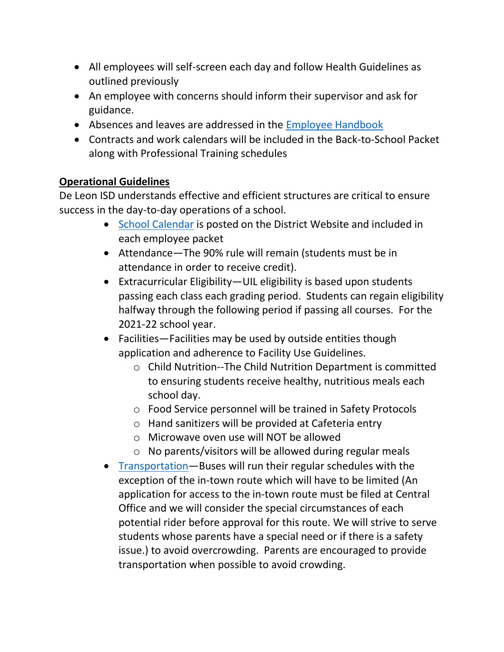- All employees will self-screen each day and follow Health Guidelines as outlined previously
- An employee with concerns should inform their supervisor and ask for guidance.
- Absences and leaves are addressed in the [Employee Handbook](http://www.deleonisd.net/upload/common/Docs/2020-21/Employee%20Handbook%202020-21.pdf)
- Contracts and work calendars will be included in the Back-to-School Packet along with Professional Training schedules

## **Operational Guidelines**

De Leon ISD understands effective and efficient structures are critical to ensure success in the day-to-day operations of a school.

- [School Calendar](http://www.deleonisd.net/upload/common/Docs/2020-21/De%20Leon%20ISD%202021-2022.pdf) is posted on the District Website and included in each employee packet
- Attendance—The 90% rule will remain (students must be in attendance in order to receive credit).
- Extracurricular Eligibility—UIL eligibility is based upon students passing each class each grading period. Students can regain eligibility halfway through the following period if passing all courses. For the 2021-22 school year.
- Facilities—Facilities may be used by outside entities though application and adherence to Facility Use Guidelines.
	- o Child Nutrition--The Child Nutrition Department is committed to ensuring students receive healthy, nutritious meals each school day.
	- o Food Service personnel will be trained in Safety Protocols
	- o Hand sanitizers will be provided at Cafeteria entry
	- o Microwave oven use will NOT be allowed
	- o No parents/visitors will be allowed during regular meals
- [Transportation](http://www.deleonisd.net/upload/page/0074/docs/21-22%20Transportation%20Handbook.pdf)—Buses will run their regular schedules with the exception of the in-town route which will have to be limited (An application for access to the in-town route must be filed at Central Office and we will consider the special circumstances of each potential rider before approval for this route. We will strive to serve students whose parents have a special need or if there is a safety issue.) to avoid overcrowding. Parents are encouraged to provide transportation when possible to avoid crowding.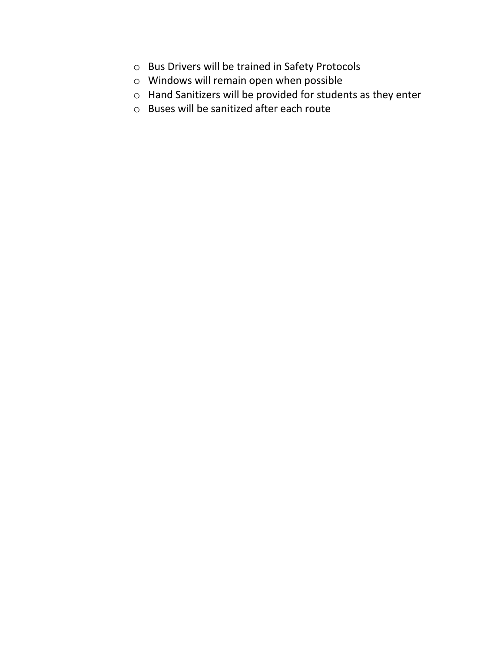- o Bus Drivers will be trained in Safety Protocols
- o Windows will remain open when possible
- o Hand Sanitizers will be provided for students as they enter
- o Buses will be sanitized after each route